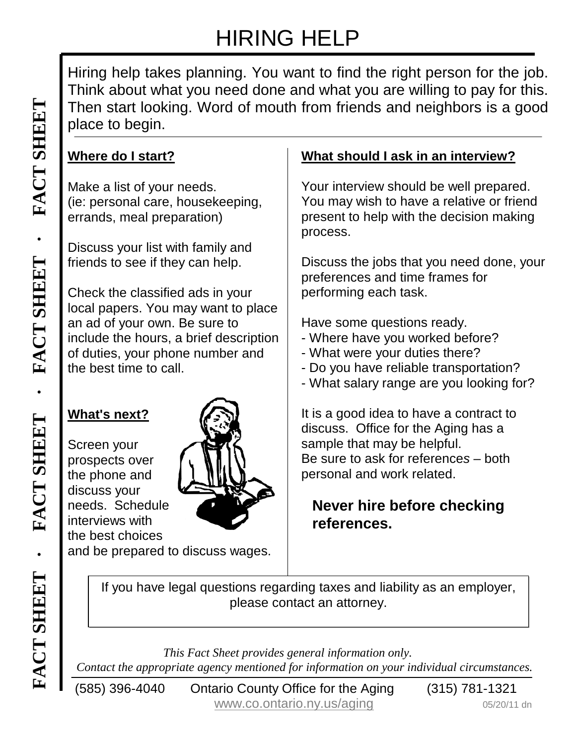# HIRING HELP

Hiring help takes planning. You want to find the right person for the job. Think about what you need done and what you are willing to pay for this. Then start looking. Word of mouth from friends and neighbors is a good place to begin.

## **Where do I start?**

Make a list of your needs. (ie: personal care, housekeeping, errands, meal preparation)

Discuss your list with family and friends to see if they can help.

Then start looking. Word of mouth from friends and neighbors is a go<br>
Mete a list of your needs.<br>
We alist of your needs.<br>
(i.e: personal care, housekeeping,<br>
(i.e: personal care, housekeeping,<br>
Friends to see if they can Check the classified ads in your local papers. You may want to place an ad of your own. Be sure to include the hours, a brief description of duties, your phone number and the best time to call.

#### **What's next?**

Screen your prospects over the phone and discuss your needs. Schedule interviews with the best choices



and be prepared to discuss wages.

# **What should I ask in an interview?**

Your interview should be well prepared. You may wish to have a relative or friend present to help with the decision making process.

Discuss the jobs that you need done, your preferences and time frames for performing each task.

Have some questions ready.

- Where have you worked before?
- What were your duties there?
- Do you have reliable transportation?
- What salary range are you looking for?

It is a good idea to have a contract to discuss. Office for the Aging has a sample that may be helpful. Be sure to ask for reference*s* – both personal and work related.

## **Never hire before checking references.**

**Example 19 Contact the appropriate agency mentioned for information only.**<br> **Contact the appropriate agency mentioned for information only.**<br> **Contact the appropriate agency mentioned for information on your individual ci** If you have legal questions regarding taxes and liability as an employer, please contact an attorney.

*This Fact Sheet provides general information only.*

(585) 396-4040 Ontario County Office for the Aging (315) 781-1321